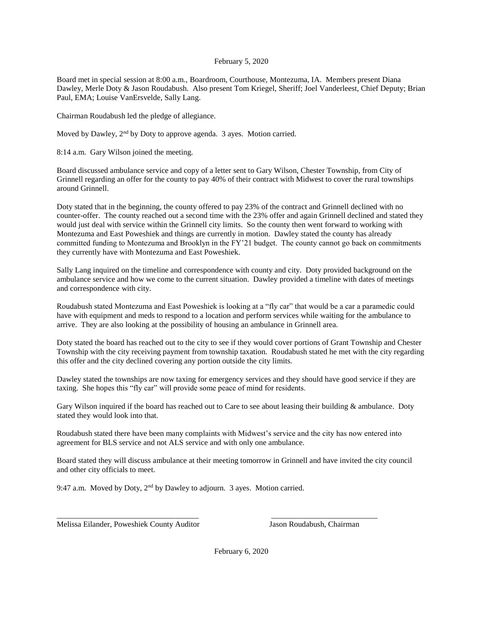## February 5, 2020

Board met in special session at 8:00 a.m., Boardroom, Courthouse, Montezuma, IA. Members present Diana Dawley, Merle Doty & Jason Roudabush. Also present Tom Kriegel, Sheriff; Joel Vanderleest, Chief Deputy; Brian Paul, EMA; Louise VanErsvelde, Sally Lang.

Chairman Roudabush led the pledge of allegiance.

Moved by Dawley, 2nd by Doty to approve agenda. 3 ayes. Motion carried.

8:14 a.m. Gary Wilson joined the meeting.

Board discussed ambulance service and copy of a letter sent to Gary Wilson, Chester Township, from City of Grinnell regarding an offer for the county to pay 40% of their contract with Midwest to cover the rural townships around Grinnell.

Doty stated that in the beginning, the county offered to pay 23% of the contract and Grinnell declined with no counter-offer. The county reached out a second time with the 23% offer and again Grinnell declined and stated they would just deal with service within the Grinnell city limits. So the county then went forward to working with Montezuma and East Poweshiek and things are currently in motion. Dawley stated the county has already committed funding to Montezuma and Brooklyn in the FY'21 budget. The county cannot go back on commitments they currently have with Montezuma and East Poweshiek.

Sally Lang inquired on the timeline and correspondence with county and city. Doty provided background on the ambulance service and how we come to the current situation. Dawley provided a timeline with dates of meetings and correspondence with city.

Roudabush stated Montezuma and East Poweshiek is looking at a "fly car" that would be a car a paramedic could have with equipment and meds to respond to a location and perform services while waiting for the ambulance to arrive. They are also looking at the possibility of housing an ambulance in Grinnell area.

Doty stated the board has reached out to the city to see if they would cover portions of Grant Township and Chester Township with the city receiving payment from township taxation. Roudabush stated he met with the city regarding this offer and the city declined covering any portion outside the city limits.

Dawley stated the townships are now taxing for emergency services and they should have good service if they are taxing. She hopes this "fly car" will provide some peace of mind for residents.

Gary Wilson inquired if the board has reached out to Care to see about leasing their building & ambulance. Doty stated they would look into that.

Roudabush stated there have been many complaints with Midwest's service and the city has now entered into agreement for BLS service and not ALS service and with only one ambulance.

Board stated they will discuss ambulance at their meeting tomorrow in Grinnell and have invited the city council and other city officials to meet.

\_\_\_\_\_\_\_\_\_\_\_\_\_\_\_\_\_\_\_\_\_\_\_\_\_\_\_\_\_\_\_\_\_\_\_\_ \_\_\_\_\_\_\_\_\_\_\_\_\_\_\_\_\_\_\_\_\_\_\_\_\_\_\_

9:47 a.m. Moved by Doty, 2<sup>nd</sup> by Dawley to adjourn. 3 ayes. Motion carried.

Melissa Eilander, Poweshiek County Auditor Jason Roudabush, Chairman

February 6, 2020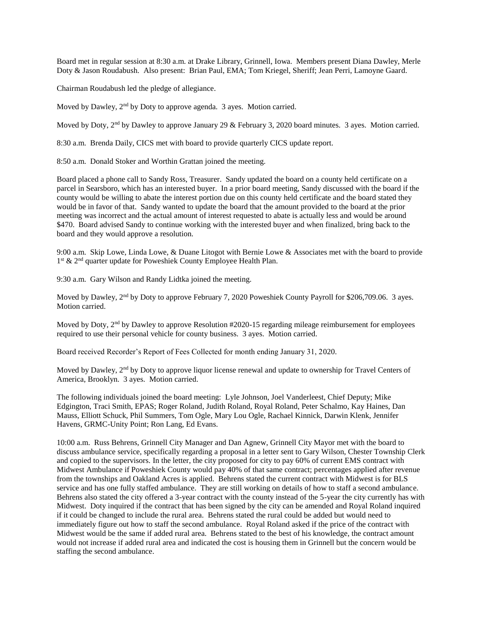Board met in regular session at 8:30 a.m. at Drake Library, Grinnell, Iowa. Members present Diana Dawley, Merle Doty & Jason Roudabush. Also present: Brian Paul, EMA; Tom Kriegel, Sheriff; Jean Perri, Lamoyne Gaard.

Chairman Roudabush led the pledge of allegiance.

Moved by Dawley, 2<sup>nd</sup> by Doty to approve agenda. 3 ayes. Motion carried.

Moved by Doty, 2<sup>nd</sup> by Dawley to approve January 29 & February 3, 2020 board minutes. 3 ayes. Motion carried.

8:30 a.m. Brenda Daily, CICS met with board to provide quarterly CICS update report.

8:50 a.m. Donald Stoker and Worthin Grattan joined the meeting.

Board placed a phone call to Sandy Ross, Treasurer. Sandy updated the board on a county held certificate on a parcel in Searsboro, which has an interested buyer. In a prior board meeting, Sandy discussed with the board if the county would be willing to abate the interest portion due on this county held certificate and the board stated they would be in favor of that. Sandy wanted to update the board that the amount provided to the board at the prior meeting was incorrect and the actual amount of interest requested to abate is actually less and would be around \$470. Board advised Sandy to continue working with the interested buyer and when finalized, bring back to the board and they would approve a resolution.

9:00 a.m. Skip Lowe, Linda Lowe, & Duane Litogot with Bernie Lowe & Associates met with the board to provide 1<sup>st</sup> & 2<sup>nd</sup> quarter update for Poweshiek County Employee Health Plan.

9:30 a.m. Gary Wilson and Randy Lidtka joined the meeting.

Moved by Dawley, 2<sup>nd</sup> by Doty to approve February 7, 2020 Poweshiek County Payroll for \$206,709.06. 3 ayes. Motion carried.

Moved by Doty, 2<sup>nd</sup> by Dawley to approve Resolution #2020-15 regarding mileage reimbursement for employees required to use their personal vehicle for county business. 3 ayes. Motion carried.

Board received Recorder's Report of Fees Collected for month ending January 31, 2020.

Moved by Dawley, 2<sup>nd</sup> by Doty to approve liquor license renewal and update to ownership for Travel Centers of America, Brooklyn. 3 ayes. Motion carried.

The following individuals joined the board meeting: Lyle Johnson, Joel Vanderleest, Chief Deputy; Mike Edgington, Traci Smith, EPAS; Roger Roland, Judith Roland, Royal Roland, Peter Schalmo, Kay Haines, Dan Mauss, Elliott Schuck, Phil Summers, Tom Ogle, Mary Lou Ogle, Rachael Kinnick, Darwin Klenk, Jennifer Havens, GRMC-Unity Point; Ron Lang, Ed Evans.

10:00 a.m. Russ Behrens, Grinnell City Manager and Dan Agnew, Grinnell City Mayor met with the board to discuss ambulance service, specifically regarding a proposal in a letter sent to Gary Wilson, Chester Township Clerk and copied to the supervisors. In the letter, the city proposed for city to pay 60% of current EMS contract with Midwest Ambulance if Poweshiek County would pay 40% of that same contract; percentages applied after revenue from the townships and Oakland Acres is applied. Behrens stated the current contract with Midwest is for BLS service and has one fully staffed ambulance. They are still working on details of how to staff a second ambulance. Behrens also stated the city offered a 3-year contract with the county instead of the 5-year the city currently has with Midwest. Doty inquired if the contract that has been signed by the city can be amended and Royal Roland inquired if it could be changed to include the rural area. Behrens stated the rural could be added but would need to immediately figure out how to staff the second ambulance. Royal Roland asked if the price of the contract with Midwest would be the same if added rural area. Behrens stated to the best of his knowledge, the contract amount would not increase if added rural area and indicated the cost is housing them in Grinnell but the concern would be staffing the second ambulance.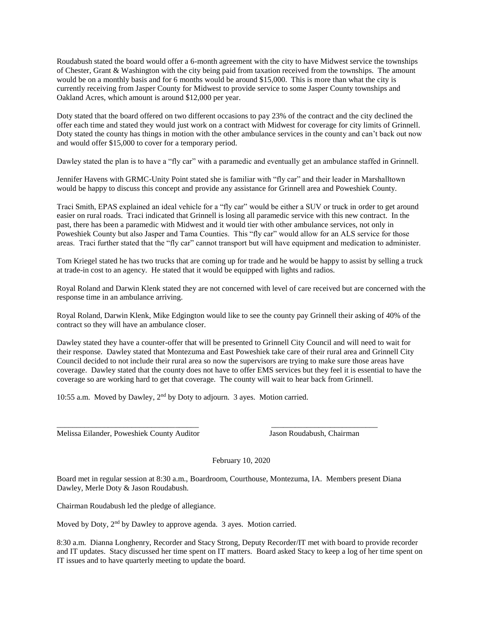Roudabush stated the board would offer a 6-month agreement with the city to have Midwest service the townships of Chester, Grant & Washington with the city being paid from taxation received from the townships. The amount would be on a monthly basis and for 6 months would be around \$15,000. This is more than what the city is currently receiving from Jasper County for Midwest to provide service to some Jasper County townships and Oakland Acres, which amount is around \$12,000 per year.

Doty stated that the board offered on two different occasions to pay 23% of the contract and the city declined the offer each time and stated they would just work on a contract with Midwest for coverage for city limits of Grinnell. Doty stated the county has things in motion with the other ambulance services in the county and can't back out now and would offer \$15,000 to cover for a temporary period.

Dawley stated the plan is to have a "fly car" with a paramedic and eventually get an ambulance staffed in Grinnell.

Jennifer Havens with GRMC-Unity Point stated she is familiar with "fly car" and their leader in Marshalltown would be happy to discuss this concept and provide any assistance for Grinnell area and Poweshiek County.

Traci Smith, EPAS explained an ideal vehicle for a "fly car" would be either a SUV or truck in order to get around easier on rural roads. Traci indicated that Grinnell is losing all paramedic service with this new contract. In the past, there has been a paramedic with Midwest and it would tier with other ambulance services, not only in Poweshiek County but also Jasper and Tama Counties. This "fly car" would allow for an ALS service for those areas. Traci further stated that the "fly car" cannot transport but will have equipment and medication to administer.

Tom Kriegel stated he has two trucks that are coming up for trade and he would be happy to assist by selling a truck at trade-in cost to an agency. He stated that it would be equipped with lights and radios.

Royal Roland and Darwin Klenk stated they are not concerned with level of care received but are concerned with the response time in an ambulance arriving.

Royal Roland, Darwin Klenk, Mike Edgington would like to see the county pay Grinnell their asking of 40% of the contract so they will have an ambulance closer.

Dawley stated they have a counter-offer that will be presented to Grinnell City Council and will need to wait for their response. Dawley stated that Montezuma and East Poweshiek take care of their rural area and Grinnell City Council decided to not include their rural area so now the supervisors are trying to make sure those areas have coverage. Dawley stated that the county does not have to offer EMS services but they feel it is essential to have the coverage so are working hard to get that coverage. The county will wait to hear back from Grinnell.

10:55 a.m. Moved by Dawley, 2nd by Doty to adjourn. 3 ayes. Motion carried.

Melissa Eilander, Poweshiek County Auditor Jason Roudabush, Chairman

February 10, 2020

Board met in regular session at 8:30 a.m., Boardroom, Courthouse, Montezuma, IA. Members present Diana Dawley, Merle Doty & Jason Roudabush.

\_\_\_\_\_\_\_\_\_\_\_\_\_\_\_\_\_\_\_\_\_\_\_\_\_\_\_\_\_\_\_\_\_\_\_\_ \_\_\_\_\_\_\_\_\_\_\_\_\_\_\_\_\_\_\_\_\_\_\_\_\_\_\_

Chairman Roudabush led the pledge of allegiance.

Moved by Doty, 2nd by Dawley to approve agenda. 3 ayes. Motion carried.

8:30 a.m. Dianna Longhenry, Recorder and Stacy Strong, Deputy Recorder/IT met with board to provide recorder and IT updates. Stacy discussed her time spent on IT matters. Board asked Stacy to keep a log of her time spent on IT issues and to have quarterly meeting to update the board.